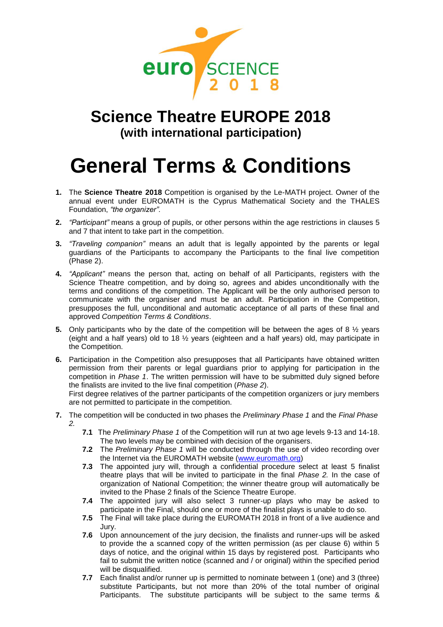

## **Science Theatre EUROPE 2018 (with international participation)**

## **General Terms & Conditions**

- **1.** The **Science Theatre 2018** Competition is organised by the Le-MATH project. Owner of the annual event under EUROMATH is the Cyprus Mathematical Society and the THALES Foundation, *"the organizer".*
- **2.** *"Participant"* means a group of pupils, or other persons within the age restrictions in clauses 5 and 7 that intent to take part in the competition.
- **3.** *"Traveling companion"* means an adult that is legally appointed by the parents or legal guardians of the Participants to accompany the Participants to the final live competition (Phase 2).
- **4.** *"Applicant"* means the person that, acting on behalf of all Participants, registers with the Science Theatre competition, and by doing so, agrees and abides unconditionally with the terms and conditions of the competition. The Applicant will be the only authorised person to communicate with the organiser and must be an adult. Participation in the Competition, presupposes the full, unconditional and automatic acceptance of all parts of these final and approved *Competition Terms & Conditions*.
- **5.** Only participants who by the date of the competition will be between the ages of 8  $\frac{1}{2}$  years (eight and a half years) old to 18 ½ years (eighteen and a half years) old, may participate in the Competition.
- **6.** Participation in the Competition also presupposes that all Participants have obtained written permission from their parents or legal guardians prior to applying for participation in the competition in *Phase 1*. The written permission will have to be submitted duly signed before the finalists are invited to the live final competition (*Phase 2*).

First degree relatives of the partner participants of the competition organizers or jury members are not permitted to participate in the competition.

- **7.** The competition will be conducted in two phases the *Preliminary Phase 1* and the *Final Phase 2.*
	- **7.1** The *Preliminary Phase 1* of the Competition will run at two age levels 9-13 and 14-18. The two levels may be combined with decision of the organisers.
	- **7.2** The *Preliminary Phase 1* will be conducted through the use of video recording over the Internet via the EUROMATH website [\(www.euromath.org\)](http://www.euromath.org/)
	- **7.3** The appointed jury will, through a confidential procedure select at least 5 finalist theatre plays that will be invited to participate in the final *Phase 2.* In the case of organization of National Competition; the winner theatre group will automatically be invited to the Phase 2 finals of the Science Theatre Europe.
	- **7.4** The appointed jury will also select 3 runner-up plays who may be asked to participate in the Final, should one or more of the finalist plays is unable to do so.
	- **7.5** The Final will take place during the EUROMATH 2018 in front of a live audience and Jury.
	- **7.6** Upon announcement of the jury decision, the finalists and runner-ups will be asked to provide the a scanned copy of the written permission (as per clause 6) within 5 days of notice, and the original within 15 days by registered post. Participants who fail to submit the written notice (scanned and / or original) within the specified period will be disqualified.
	- **7.7** Each finalist and/or runner up is permitted to nominate between 1 (one) and 3 (three) substitute Participants, but not more than 20% of the total number of original Participants. The substitute participants will be subject to the same terms &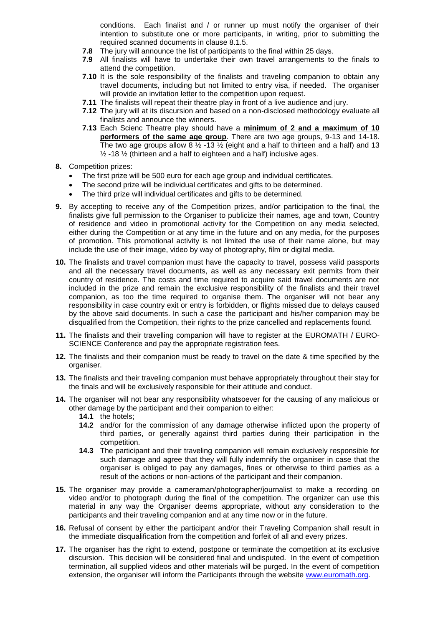conditions. Each finalist and / or runner up must notify the organiser of their intention to substitute one or more participants, in writing, prior to submitting the required scanned documents in clause 8.1.5.

- **7.8** The jury will announce the list of participants to the final within 25 days.
- **7.9** All finalists will have to undertake their own travel arrangements to the finals to attend the competition.
- **7.10** It is the sole responsibility of the finalists and traveling companion to obtain any travel documents, including but not limited to entry visa, if needed. The organiser will provide an invitation letter to the competition upon request.
- **7.11** The finalists will repeat their theatre play in front of a live audience and jury.
- **7.12** The jury will at its discursion and based on a non-disclosed methodology evaluate all finalists and announce the winners.
- **7.13** Each Scienc Theatre play should have a **minimum of 2 and a maximum of 10 performers of the same age group**. There are two age groups, 9-13 and 14-18. The two age groups allow 8  $\frac{1}{2}$  -13  $\frac{1}{2}$  (eight and a half to thirteen and a half) and 13  $\frac{1}{2}$  -18  $\frac{1}{2}$  (thirteen and a half to eighteen and a half) inclusive ages.
- **8.** Competition prizes:
	- The first prize will be 500 euro for each age group and individual certificates.
	- The second prize will be individual certificates and gifts to be determined.
	- The third prize will individual certificates and gifts to be determined.
- **9.** By accepting to receive any of the Competition prizes, and/or participation to the final, the finalists give full permission to the Organiser to publicize their names, age and town, Country of residence and video in promotional activity for the Competition on any media selected, either during the Competition or at any time in the future and on any media, for the purposes of promotion. This promotional activity is not limited the use of their name alone, but may include the use of their image, video by way of photography, film or digital media.
- **10.** The finalists and travel companion must have the capacity to travel, possess valid passports and all the necessary travel documents, as well as any necessary exit permits from their country of residence. The costs and time required to acquire said travel documents are not included in the prize and remain the exclusive responsibility of the finalists and their travel companion, as too the time required to organise them. The organiser will not bear any responsibility in case country exit or entry is forbidden, or flights missed due to delays caused by the above said documents. In such a case the participant and his/her companion may be disqualified from the Competition, their rights to the prize cancelled and replacements found.
- **11.** The finalists and their travelling companion will have to register at the EUROMATH / EURO-SCIENCE Conference and pay the appropriate registration fees.
- **12.** The finalists and their companion must be ready to travel on the date & time specified by the organiser.
- **13.** The finalists and their traveling companion must behave appropriately throughout their stay for the finals and will be exclusively responsible for their attitude and conduct.
- **14.** The organiser will not bear any responsibility whatsoever for the causing of any malicious or other damage by the participant and their companion to either:
	- **14.1** the hotels;
	- **14.2** and/or for the commission of any damage otherwise inflicted upon the property of third parties, or generally against third parties during their participation in the competition.
	- **14.3** The participant and their traveling companion will remain exclusively responsible for such damage and agree that they will fully indemnify the organiser in case that the organiser is obliged to pay any damages, fines or otherwise to third parties as a result of the actions or non-actions of the participant and their companion.
- **15.** The organiser may provide a cameraman/photographer/journalist to make a recording on video and/or to photograph during the final of the competition. The organizer can use this material in any way the Organiser deems appropriate, without any consideration to the participants and their traveling companion and at any time now or in the future.
- **16.** Refusal of consent by either the participant and/or their Traveling Companion shall result in the immediate disqualification from the competition and forfeit of all and every prizes.
- **17.** The organiser has the right to extend, postpone or terminate the competition at its exclusive discursion. This decision will be considered final and undisputed. In the event of competition termination, all supplied videos and other materials will be purged. In the event of competition extension, the organiser will inform the Participants through the website [www.euromath.org.](http://www.euromath.org/)